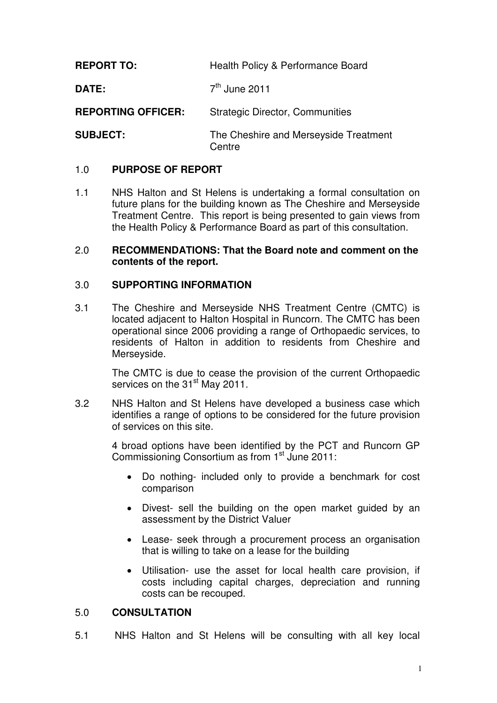**REPORT TO:** Health Policy & Performance Board

**DATE:** 7  $7<sup>th</sup>$  June 2011

**REPORTING OFFICER:** Strategic Director, Communities

**SUBJECT:** The Cheshire and Merseyside Treatment **Centre** 

## 1.0 **PURPOSE OF REPORT**

1.1 NHS Halton and St Helens is undertaking a formal consultation on future plans for the building known as The Cheshire and Merseyside Treatment Centre. This report is being presented to gain views from the Health Policy & Performance Board as part of this consultation.

#### 2.0 **RECOMMENDATIONS: That the Board note and comment on the contents of the report.**

# 3.0 **SUPPORTING INFORMATION**

3.1 The Cheshire and Merseyside NHS Treatment Centre (CMTC) is located adjacent to Halton Hospital in Runcorn. The CMTC has been operational since 2006 providing a range of Orthopaedic services, to residents of Halton in addition to residents from Cheshire and Merseyside.

> The CMTC is due to cease the provision of the current Orthopaedic services on the 31<sup>st</sup> May 2011.

3.2 NHS Halton and St Helens have developed a business case which identifies a range of options to be considered for the future provision of services on this site.

> 4 broad options have been identified by the PCT and Runcorn GP Commissioning Consortium as from 1<sup>st</sup> June 2011:

- Do nothing- included only to provide a benchmark for cost comparison
- Divest- sell the building on the open market guided by an assessment by the District Valuer
- Lease- seek through a procurement process an organisation that is willing to take on a lease for the building
- Utilisation- use the asset for local health care provision, if costs including capital charges, depreciation and running costs can be recouped.

### 5.0 **CONSULTATION**

5.1 NHS Halton and St Helens will be consulting with all key local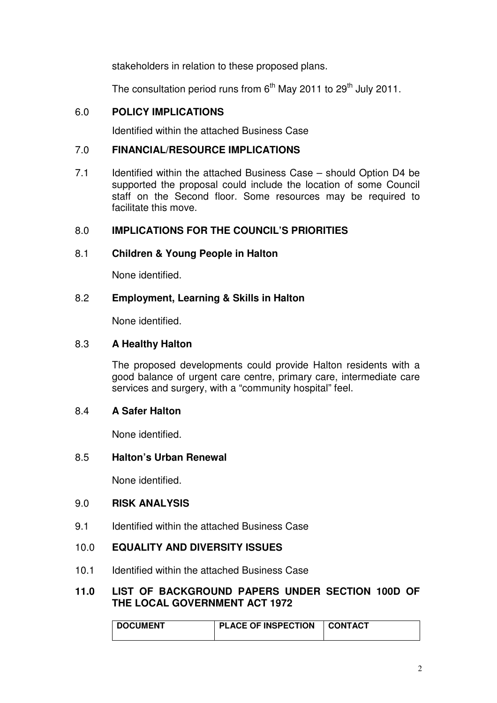stakeholders in relation to these proposed plans.

The consultation period runs from 6<sup>th</sup> May 2011 to 29<sup>th</sup> July 2011.

# 6.0 **POLICY IMPLICATIONS**

Identified within the attached Business Case

### 7.0 **FINANCIAL/RESOURCE IMPLICATIONS**

7.1 Identified within the attached Business Case – should Option D4 be supported the proposal could include the location of some Council staff on the Second floor. Some resources may be required to facilitate this move.

## 8.0 **IMPLICATIONS FOR THE COUNCIL'S PRIORITIES**

### 8.1 **Children & Young People in Halton**

None identified.

## 8.2 **Employment, Learning & Skills in Halton**

None identified.

#### 8.3 **A Healthy Halton**

The proposed developments could provide Halton residents with a good balance of urgent care centre, primary care, intermediate care services and surgery, with a "community hospital" feel.

### 8.4 **A Safer Halton**

None identified.

### 8.5 **Halton's Urban Renewal**

None identified.

## 9.0 **RISK ANALYSIS**

9.1 Identified within the attached Business Case

## 10.0 **EQUALITY AND DIVERSITY ISSUES**

10.1 Identified within the attached Business Case

### **11.0 LIST OF BACKGROUND PAPERS UNDER SECTION 100D OF THE LOCAL GOVERNMENT ACT 1972**

| <b>DOCUMENT</b> | <b>PLACE OF INSPECTION</b> | <b>CONTACT</b> |
|-----------------|----------------------------|----------------|
|                 |                            |                |